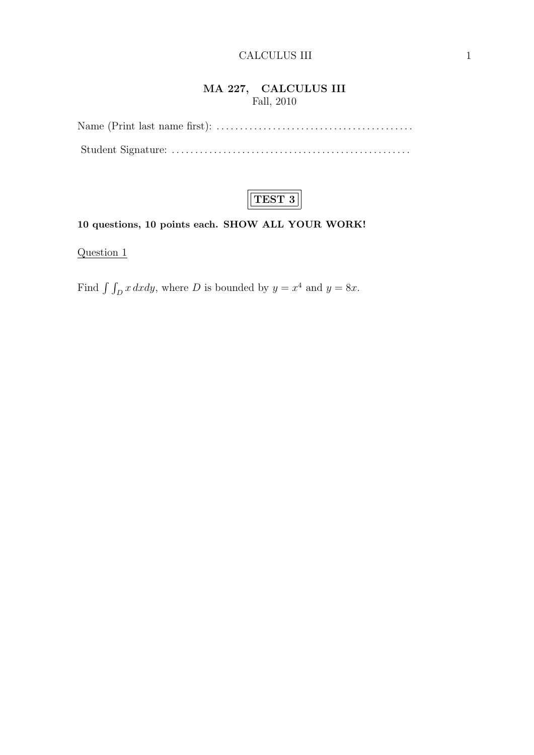## **MA 227, CALCULUS III** Fall, 2010



# **10 questions, 10 points each. SHOW ALL YOUR WORK!**

Question 1

Find  $\int \int_D x \, dxdy$ , where *D* is bounded by  $y = x^4$  and  $y = 8x$ .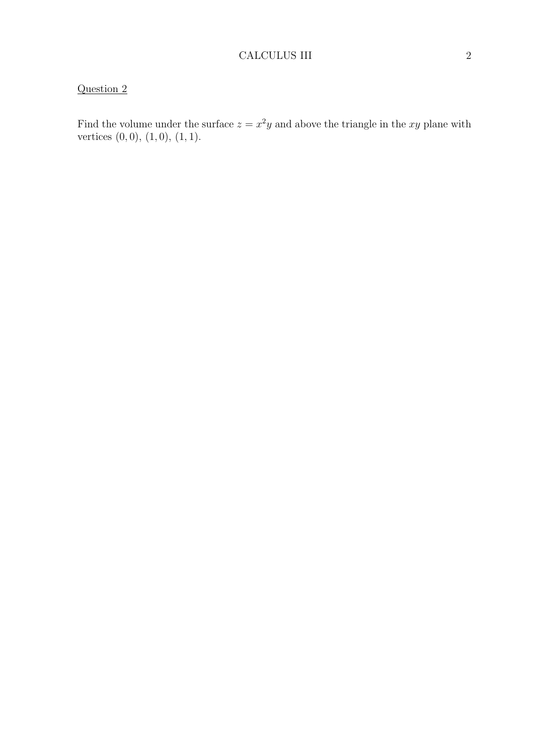Find the volume under the surface  $z = x^2y$  and above the triangle in the xy plane with vertices (0*,* 0), (1*,* 0), (1*,* 1).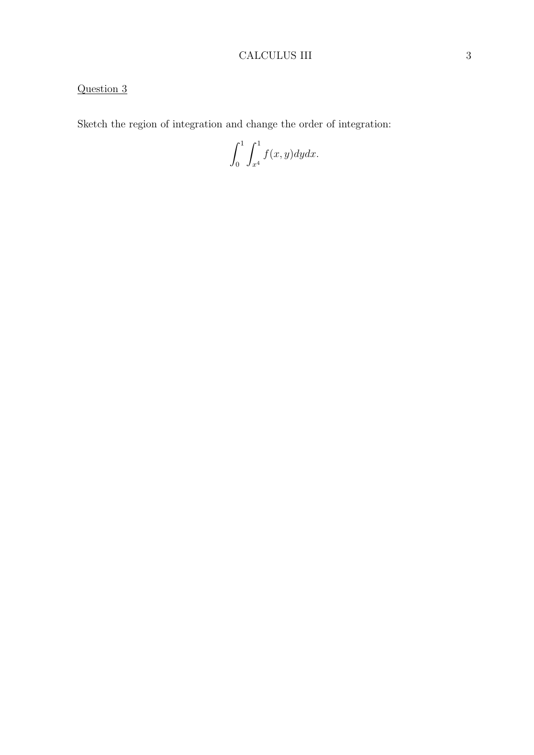# CALCULUS III 3

# Question 3

Sketch the region of integration and change the order of integration:

 $\int_0^1$ 0  $\int_0^1$ *x*4 *f*(*x, y*)*dydx.*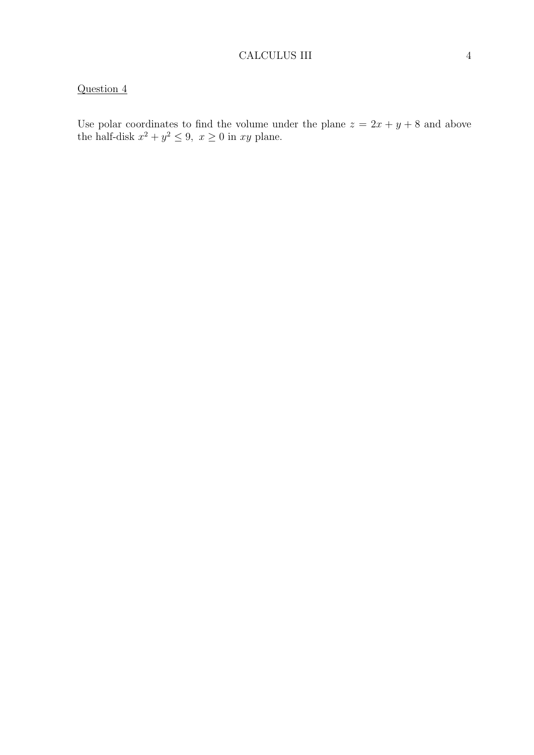Use polar coordinates to find the volume under the plane  $z = 2x + y + 8$  and above the half-disk  $x^2 + y^2 \le 9$ ,  $x \ge 0$  in *xy* plane.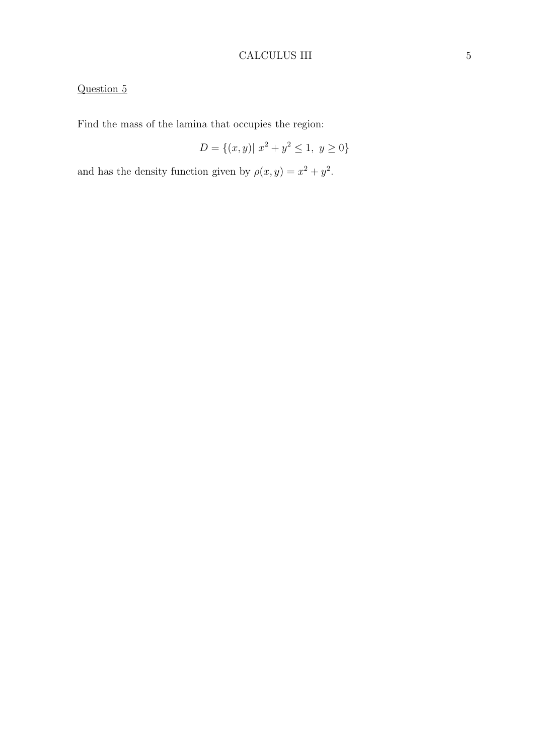# CALCULUS III 5

# Question 5

Find the mass of the lamina that occupies the region:

$$
D = \{(x, y) | x^2 + y^2 \le 1, y \ge 0\}
$$

and has the density function given by  $\rho(x, y) = x^2 + y^2$ .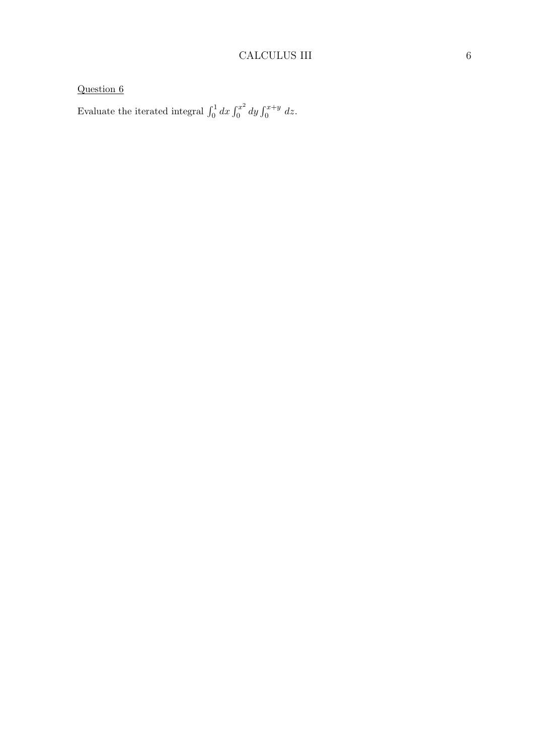Evaluate the iterated integral  $\int_0^1 dx \int_0^{x^2}$  $\int_0^{x^2} dy \int_0^{x+y} dz.$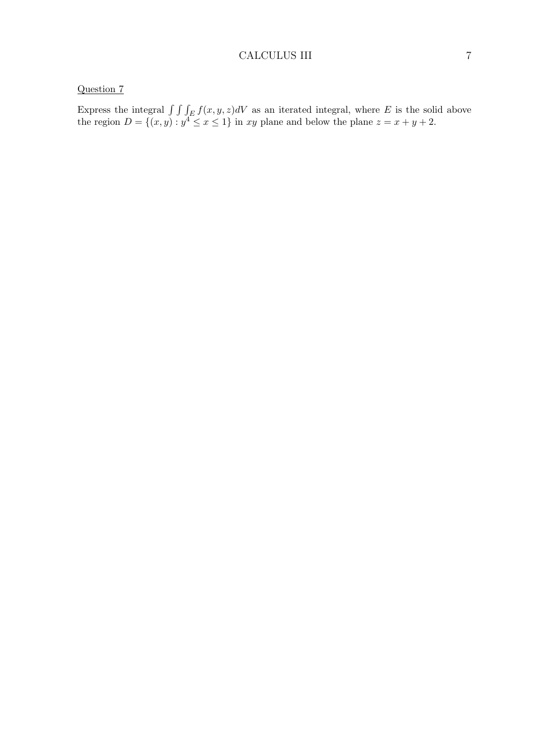Express the integral  $\int \int \int_E f(x, y, z) dV$  as an iterated integral, where *E* is the solid above the region  $D = \{(x, y) : y^4 \le x \le 1\}$  in *xy* plane and below the plane  $z = x + y + 2$ .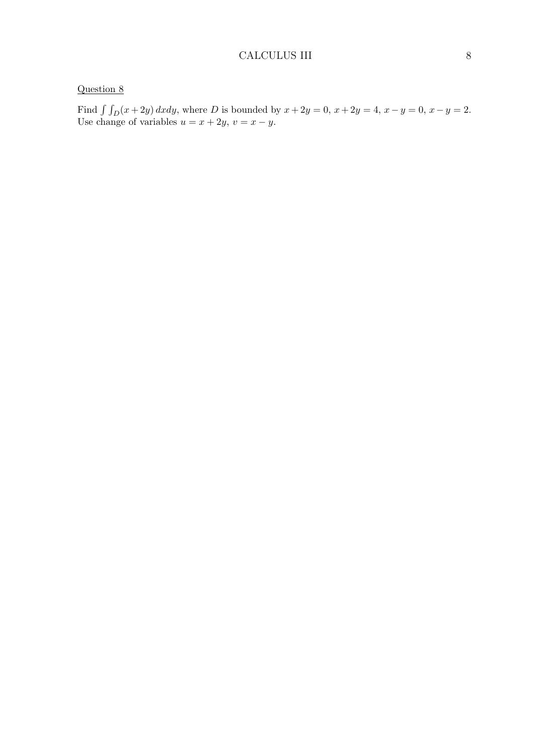Find  $\int \int_D (x+2y) \, dx \, dy$ , where *D* is bounded by  $x + 2y = 0$ ,  $x + 2y = 4$ ,  $x - y = 0$ ,  $x - y = 2$ . Use change of variables  $u = x + 2y$ ,  $v = x - y$ .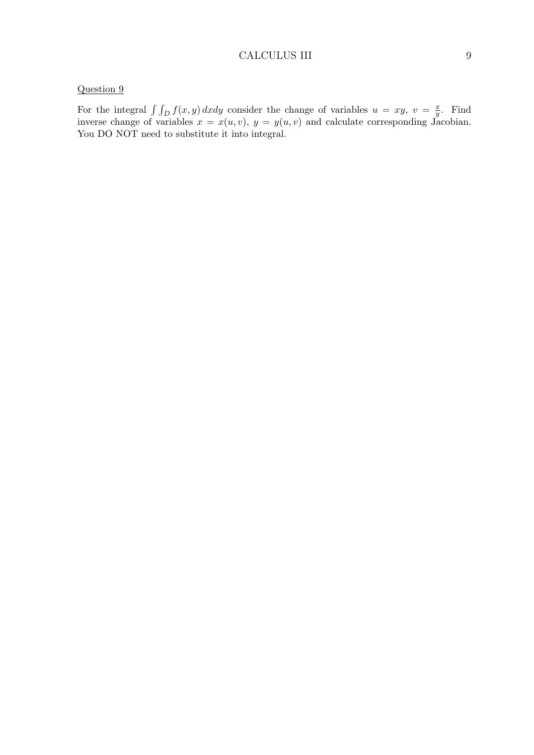#### CALCULUS III 9

## Question 9

For the integral  $\int \int_D f(x, y) dx dy$  consider the change of variables  $u = xy, v = \frac{x}{y}$  $\frac{x}{y}$ . Find inverse change of variables  $x = x(u, v)$ ,  $y = y(u, v)$  and calculate corresponding Jacobian. You DO NOT need to substitute it into integral.